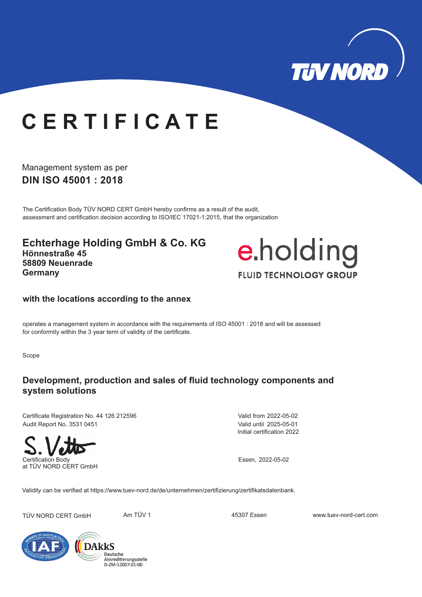

# **C E R T I F I C A T E**

Management system as per **DIN ISO 45001 : 2018**

The Certification Body TÜV NORD CERT GmbH hereby confirms as a result of the audit, assessment and certification decision according to ISO/IEC 17021-1:2015, that the organization

**Echterhage Holding GmbH & Co. KG Hönnestraße 45 58809 Neuenrade Germany**



#### **with the locations according to the annex**

operates a management system in accordance with the requirements of ISO 45001 : 2018 and will be assessed for conformity within the 3 year term of validity of the certificate.

Scope

### **Development, production and sales of fluid technology components and system solutions**

Certificate Registration No. 44 126 212596 Audit Report No. 3531 0451



Initial certification 2022 Valid from 2022-05-02 Valid until 2025-05-01

Validity can be verified at https://www.tuev-nord.de/de/unternehmen/zertifizierung/zertifikatsdatenbank.

TÜV NORD CERT GmbH Am TÜV 1 45307 Essen www.tuev-nord-cert.com